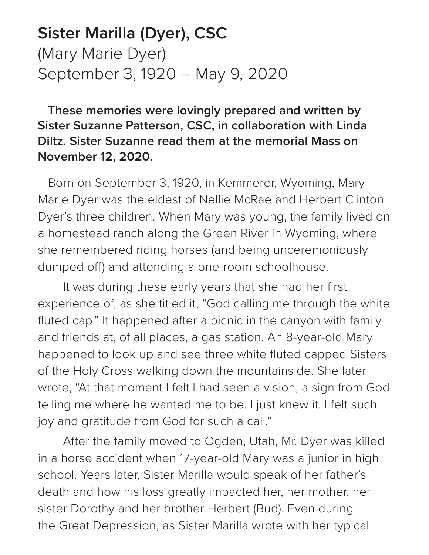## **Sister Marilla (Dyer), CSC** (Mary Marie Dyer) September 3, 1920 – May 9, 2020

## **These memories were lovingly prepared and written by Sister Suzanne Patterson, CSC, in collaboration with Linda Diltz. Sister Suzanne read them at the memorial Mass on November 12, 2020.**

Born on September 3, 1920, in Kemmerer, Wyoming, Mary Marie Dyer was the eldest of Nellie McRae and Herbert Clinton Dyer's three children. When Mary was young, the family lived on a homestead ranch along the Green River in Wyoming, where she remembered riding horses (and being unceremoniously dumped off) and attending a one-room schoolhouse.

It was during these early years that she had her first experience of, as she titled it, "God calling me through the white fluted cap." It happened after a picnic in the canyon with family and friends at, of all places, a gas station. An 8-year-old Mary happened to look up and see three white fluted capped Sisters of the Holy Cross walking down the mountainside. She later wrote, "At that moment I felt I had seen a vision, a sign from God telling me where he wanted me to be. I just knew it. I felt such joy and gratitude from God for such a call."

After the family moved to Ogden, Utah, Mr. Dyer was killed in a horse accident when 17-year-old Mary was a junior in high school. Years later, Sister Marilla would speak of her father's death and how his loss greatly impacted her, her mother, her sister Dorothy and her brother Herbert (Bud). Even during the Great Depression, as Sister Marilla wrote with her typical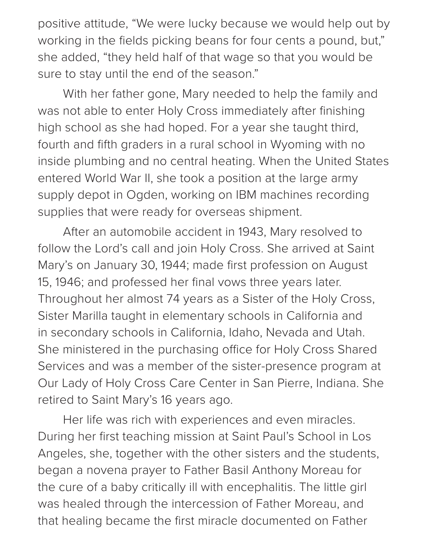positive attitude, "We were lucky because we would help out by working in the fields picking beans for four cents a pound, but," she added, "they held half of that wage so that you would be sure to stay until the end of the season."

With her father gone, Mary needed to help the family and was not able to enter Holy Cross immediately after finishing high school as she had hoped. For a year she taught third, fourth and fifth graders in a rural school in Wyoming with no inside plumbing and no central heating. When the United States entered World War II, she took a position at the large army supply depot in Ogden, working on IBM machines recording supplies that were ready for overseas shipment.

After an automobile accident in 1943, Mary resolved to follow the Lord's call and join Holy Cross. She arrived at Saint Mary's on January 30, 1944; made first profession on August 15, 1946; and professed her final vows three years later. Throughout her almost 74 years as a Sister of the Holy Cross, Sister Marilla taught in elementary schools in California and in secondary schools in California, Idaho, Nevada and Utah. She ministered in the purchasing office for Holy Cross Shared Services and was a member of the sister-presence program at Our Lady of Holy Cross Care Center in San Pierre, Indiana. She retired to Saint Mary's 16 years ago.

Her life was rich with experiences and even miracles. During her first teaching mission at Saint Paul's School in Los Angeles, she, together with the other sisters and the students, began a novena prayer to Father Basil Anthony Moreau for the cure of a baby critically ill with encephalitis. The little girl was healed through the intercession of Father Moreau, and that healing became the first miracle documented on Father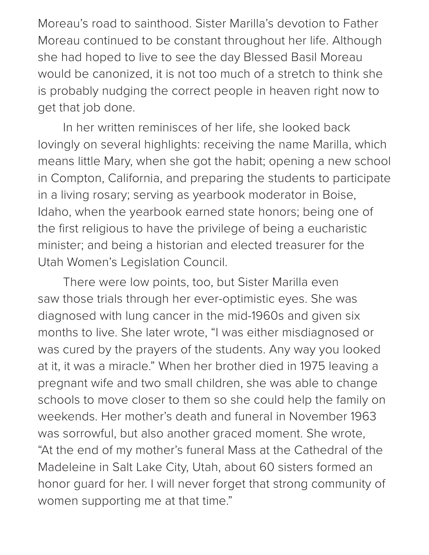Moreau's road to sainthood. Sister Marilla's devotion to Father Moreau continued to be constant throughout her life. Although she had hoped to live to see the day Blessed Basil Moreau would be canonized, it is not too much of a stretch to think she is probably nudging the correct people in heaven right now to get that job done.

In her written reminisces of her life, she looked back lovingly on several highlights: receiving the name Marilla, which means little Mary, when she got the habit; opening a new school in Compton, California, and preparing the students to participate in a living rosary; serving as yearbook moderator in Boise, Idaho, when the yearbook earned state honors; being one of the first religious to have the privilege of being a eucharistic minister; and being a historian and elected treasurer for the Utah Women's Legislation Council.

There were low points, too, but Sister Marilla even saw those trials through her ever-optimistic eyes. She was diagnosed with lung cancer in the mid-1960s and given six months to live. She later wrote, "I was either misdiagnosed or was cured by the prayers of the students. Any way you looked at it, it was a miracle." When her brother died in 1975 leaving a pregnant wife and two small children, she was able to change schools to move closer to them so she could help the family on weekends. Her mother's death and funeral in November 1963 was sorrowful, but also another graced moment. She wrote, "At the end of my mother's funeral Mass at the Cathedral of the Madeleine in Salt Lake City, Utah, about 60 sisters formed an honor guard for her. I will never forget that strong community of women supporting me at that time."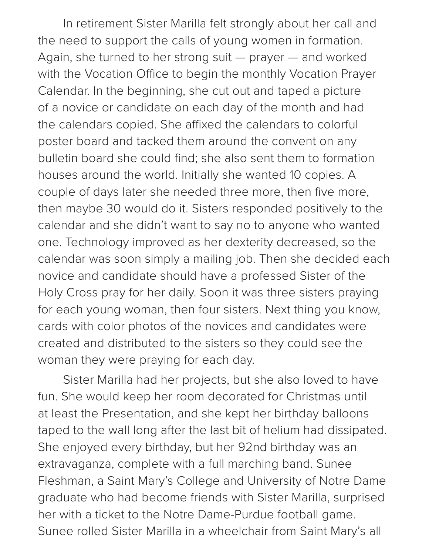In retirement Sister Marilla felt strongly about her call and the need to support the calls of young women in formation. Again, she turned to her strong suit — prayer — and worked with the Vocation Office to begin the monthly Vocation Prayer Calendar. In the beginning, she cut out and taped a picture of a novice or candidate on each day of the month and had the calendars copied. She affixed the calendars to colorful poster board and tacked them around the convent on any bulletin board she could find; she also sent them to formation houses around the world. Initially she wanted 10 copies. A couple of days later she needed three more, then five more, then maybe 30 would do it. Sisters responded positively to the calendar and she didn't want to say no to anyone who wanted one. Technology improved as her dexterity decreased, so the calendar was soon simply a mailing job. Then she decided each novice and candidate should have a professed Sister of the Holy Cross pray for her daily. Soon it was three sisters praying for each young woman, then four sisters. Next thing you know, cards with color photos of the novices and candidates were created and distributed to the sisters so they could see the woman they were praying for each day.

Sister Marilla had her projects, but she also loved to have fun. She would keep her room decorated for Christmas until at least the Presentation, and she kept her birthday balloons taped to the wall long after the last bit of helium had dissipated. She enjoyed every birthday, but her 92nd birthday was an extravaganza, complete with a full marching band. Sunee Fleshman, a Saint Mary's College and University of Notre Dame graduate who had become friends with Sister Marilla, surprised her with a ticket to the Notre Dame-Purdue football game. Sunee rolled Sister Marilla in a wheelchair from Saint Mary's all